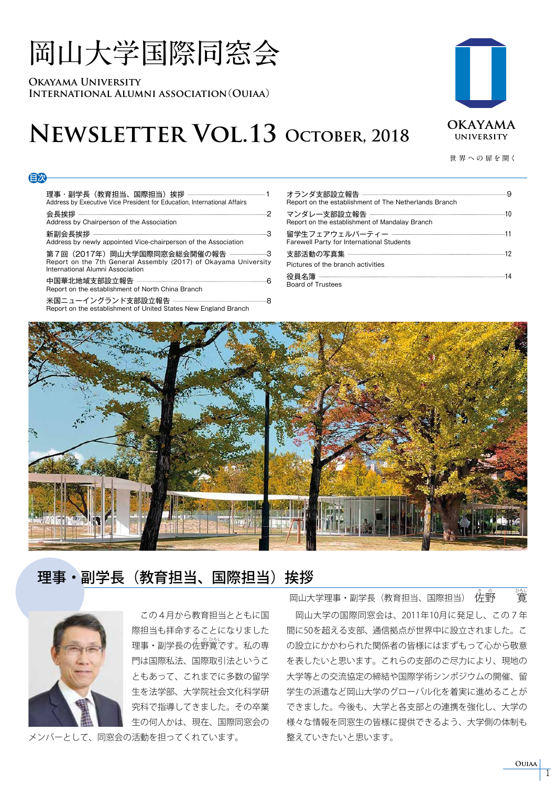# **岡山大学国際同窓会**

**Okayama University International Alumni association**(**Ouiaa**)

目次

## **Newsletter Vol.13 October, 2018**

**世 界 への 扉を開く**

**OKAYAMA UNIVERSITY** 

| Address by Executive Vice President for Education, International Affairs                                                                              |  |
|-------------------------------------------------------------------------------------------------------------------------------------------------------|--|
| Address by Chairperson of the Association                                                                                                             |  |
| Address by newly appointed Vice-chairperson of the Association                                                                                        |  |
| 第7回(2017年)岡山大学国際同窓会総会開催の報告 ------------------3<br>Report on the 7th General Assembly (2017) of Okayama University<br>International Alumni Association |  |
| Report on the establishment of North China Branch                                                                                                     |  |

米国ニューイングランド支部設立報告 8 Report on the establishment of United States New England Branch

| Report on the establishment of The Netherlands Branch |  |
|-------------------------------------------------------|--|
| Report on the establishment of Mandalay Branch        |  |
| <b>Farewell Party for International Students</b>      |  |
|                                                       |  |
| Pictures of the branch activities                     |  |
| <b>Board of Trustees</b>                              |  |



### 理事・副学長(教育担当、国際担当)挨拶



 この4月から教育担当とともに国 際担当も拝命することになりました 理事・副学長の佐野寛です。 私の専 門は国際私法、国際取引法というこ ともあって、これまでに多数の留学 生を法学部、大学院社会文化科学研 究科で指導してきました。その卒業 生の何人かは、現在、国際同窓会の

メンバーとして、同窓会の活動を担ってくれています。

 岡山大学の国際同窓会は、2011年10月に発足し、この7年 間に50を超える支部、通信拠点が世界中に設立されました。こ の設立にかかわられた関係者の皆様にはまずもって心から敬意 を表したいと思います。これらの支部のご尽力により、現地の 大学等との交流協定の締結や国際学術シンポジウムの開催、留 学生の派遣など岡山大学のグローバル化を着実に進めることが できました。今後も、大学と各支部との連携を強化し、大学の 様々な情報を同窓生の皆様に提供できるよう、大学側の体制も 整えていきたいと思います。 岡山大学理事・副学長(教育担当、国際担当) 佐野 寛 竃

#### **Ouiaa**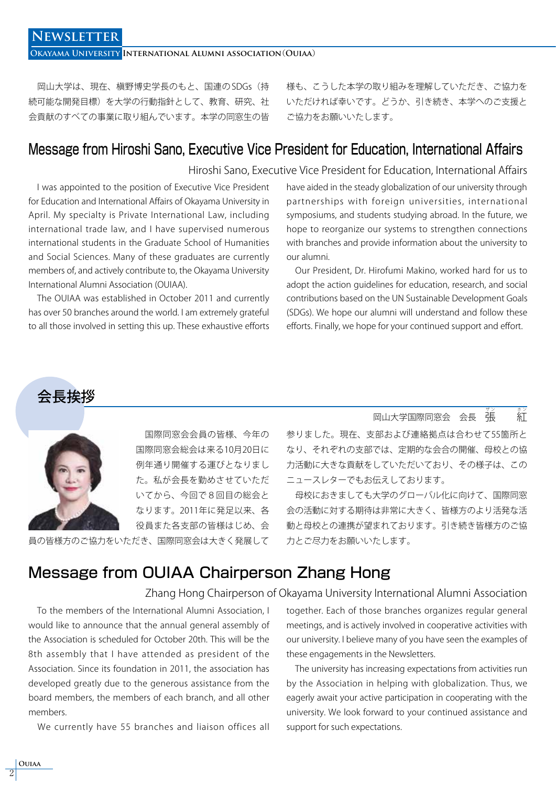**Okayama University International Alumni association**(**Ouiaa**)

 岡山大学は、現在、槇野博史学長のもと、国連の SDGs(持 続可能な開発目標)を大学の行動指針として、教育、研究、社 会貢献のすべての事業に取り組んでいます。本学の同窓生の皆 様も、こうした本学の取り組みを理解していただき、ご協力を いただければ幸いです。どうか、引き続き、本学へのご支援と ご協力をお願いいたします。

#### Message from Hiroshi Sano, Executive Vice President for Education, International Affairs

Hiroshi Sano, Executive Vice President for Education, International Affairs

 I was appointed to the position of Executive Vice President for Education and International Affairs of Okayama University in April. My specialty is Private International Law, including international trade law, and I have supervised numerous international students in the Graduate School of Humanities and Social Sciences. Many of these graduates are currently members of, and actively contribute to, the Okayama University International Alumni Association (OUIAA).

 The OUIAA was established in October 2011 and currently has over 50 branches around the world. I am extremely grateful to all those involved in setting this up. These exhaustive efforts have aided in the steady globalization of our university through partnerships with foreign universities, international symposiums, and students studying abroad. In the future, we hope to reorganize our systems to strengthen connections with branches and provide information about the university to our alumni.

 Our President, Dr. Hirofumi Makino, worked hard for us to adopt the action guidelines for education, research, and social contributions based on the UN Sustainable Development Goals (SDGs). We hope our alumni will understand and follow these efforts. Finally, we hope for your continued support and effort.





 国際同窓会会員の皆様、今年の 国際同窓会総会は来る10月20日に 例年通り開催する運びとなりまし た。私が会長を勤めさせていただ いてから、今回で8回目の総会と なります。2011年に発足以来、各 役員また各支部の皆様はじめ、会

員の皆様方のご協力をいただき、国際同窓会は大きく発展して

#### 岡山大学国際同窓会 会長 張 ザ ン にっぽん かんじょう かんじょう かんじょう かんじょう かんじょう かんじょう かんじょう かんじょう かんじょう かんじょう かんじょう かんじょう

参りました。現在、支部および連絡拠点は合わせて55箇所と なり、それぞれの支部では、定期的な会合の開催、母校との協 力活動に大きな貢献をしていただいており、その様子は、この ニュースレターでもお伝えしております。

 母校におきましても大学のグローバル化に向けて、国際同窓 会の活動に対する期待は非常に大きく、皆様方のより活発な活 動と母校との連携が望まれております。引き続き皆様方のご協 力とご尽力をお願いいたします。

#### Message from OUIAA Chairperson Zhang Hong

#### Zhang Hong Chairperson of Okayama University International Alumni Association

 To the members of the International Alumni Association, I would like to announce that the annual general assembly of the Association is scheduled for October 20th. This will be the 8th assembly that I have attended as president of the Association. Since its foundation in 2011, the association has developed greatly due to the generous assistance from the board members, the members of each branch, and all other members.

We currently have 55 branches and liaison offices all

together. Each of those branches organizes regular general meetings, and is actively involved in cooperative activities with our university. I believe many of you have seen the examples of these engagements in the Newsletters.

 The university has increasing expectations from activities run by the Association in helping with globalization. Thus, we eagerly await your active participation in cooperating with the university. We look forward to your continued assistance and support for such expectations.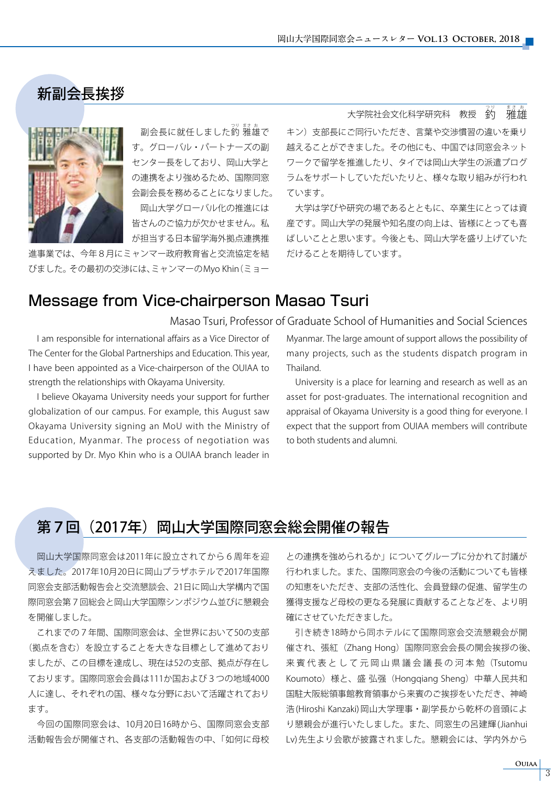### 新副会長挨拶



副会長に就任しました釣 蕥蘿で す。グローバル・パートナーズの副 センター長をしており、岡山大学と の連携をより強めるため、国際同窓 会副会長を務めることになりました。 岡山大学グローバル化の推進には 皆さんのご協力が欠かせません。私 が担当する日本留学海外拠点連携推

進事業では、今年8月にミャンマー政府教育省と交流協定を結 びました。その最初の交渉には、ミャンマーのMyo Khin(ミョー

大学院社会文化科学研究科 教授 糸 <sub>まさぁ。</sub><br>雅雄

キン)支部長にご同行いただき、言葉や交渉慣習の違いを乗り 越えることができました。その他にも、中国では同窓会ネット ワークで留学を推進したり、タイでは岡山大学生の派遣プログ ラムをサポートしていただいたりと、様々な取り組みが行われ ています。

 大学は学びや研究の場であるとともに、卒業生にとっては資 産です。岡山大学の発展や知名度の向上は、皆様にとっても喜 ばしいことと思います。今後とも、岡山大学を盛り上げていた だけることを期待しています。

### Message from Vice-chairperson Masao Tsuri

Masao Tsuri, Professor of Graduate School of Humanities and Social Sciences

 I am responsible for international affairs as a Vice Director of The Center for the Global Partnerships and Education. This year, I have been appointed as a Vice-chairperson of the OUIAA to strength the relationships with Okayama University.

 I believe Okayama University needs your support for further globalization of our campus. For example, this August saw Okayama University signing an MoU with the Ministry of Education, Myanmar. The process of negotiation was supported by Dr. Myo Khin who is a OUIAA branch leader in

Myanmar. The large amount of support allows the possibility of many projects, such as the students dispatch program in Thailand.

 University is a place for learning and research as well as an asset for post-graduates. The international recognition and appraisal of Okayama University is a good thing for everyone. I expect that the support from OUIAA members will contribute to both students and alumni.

#### 第7回 (2017年) 岡山大学国際同窓会総会開催の報告

 岡山大学国際同窓会は2011年に設立されてから6周年を迎 えました。2017年10月20日に岡山プラザホテルで2017年国際 同窓会支部活動報告会と交流懇談会、21日に岡山大学構内で国 際同窓会第7回総会と岡山大学国際シンポジウム並びに懇親会 を開催しました。

 これまでの7年間、国際同窓会は、全世界において50の支部 (拠点を含む)を設立することを大きな目標として進めており ましたが、この目標を達成し、現在は52の支部、拠点が存在し ております。国際同窓会会員は111か国および3つの地域4000 人に達し、それぞれの国、様々な分野において活躍されており ます。

 今回の国際同窓会は、10月20日16時から、国際同窓会支部 活動報告会が開催され、各支部の活動報告の中、「如何に母校

との連携を強められるか」についてグループに分かれて討議が 行われました。また、国際同窓会の今後の活動についても皆様 の知恵をいただき、支部の活性化、会員登録の促進、留学生の 獲得支援など母校の更なる発展に貢献することなどを、より明 確にさせていただきました。

 引き続き18時から同ホテルにて国際同窓会交流懇親会が開 催され、張紅(Zhang Hong)国際同窓会会長の開会挨拶の後、 来賓代表として元岡山県議会議長の河本勉(Tsutomu Koumoto)様と、盛 弘强(Hongqiang Sheng)中華人民共和 国駐大阪総領事館教育領事から来賓のご挨拶をいただき、神崎 浩 (Hiroshi Kanzaki) 岡山大学理事・副学長から乾杯の音頭によ り懇親会が進行いたしました。また、同窓生の呂建輝 (Jianhui Lv) 先生より会歌が披露されました。懇親会には、学内外から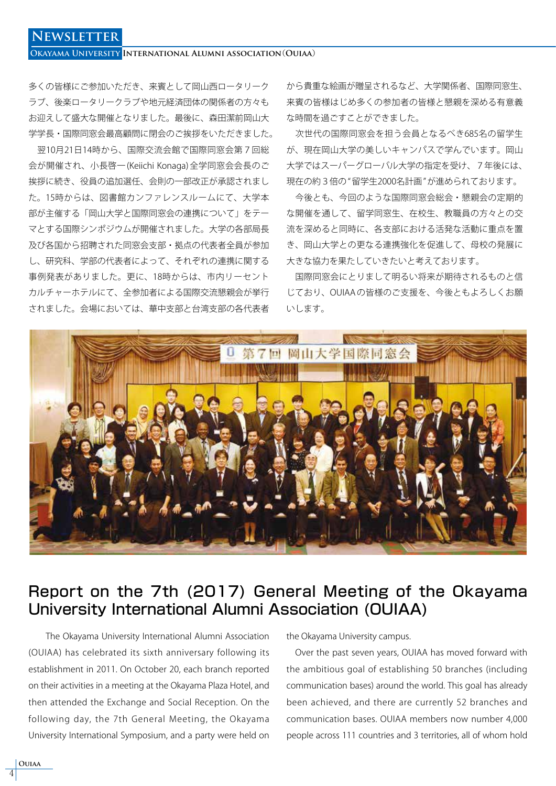#### **Okayama University International Alumni association**(**Ouiaa**)

多くの皆様にご参加いただき、来賓として岡山西ロータリーク ラブ、後楽ロータリークラブや地元経済団体の関係者の方々も お迎えして盛大な開催となりました。最後に、森田潔前岡山大 学学長・国際同窓会最高顧問に閉会のご挨拶をいただきました。

 翌10月21日14時から、国際交流会館で国際同窓会第7回総 会が開催され、小長啓一 (Keiichi Konaga) 全学同窓会会長のご 挨拶に続き、役員の追加選任、会則の一部改正が承認されまし た。15時からは、図書館カンファレンスルームにて、大学本 部が主催する「岡山大学と国際同窓会の連携について」をテー マとする国際シンポジウムが開催されました。大学の各部局長 及び各国から招聘された同窓会支部・拠点の代表者全員が参加 し、研究科、学部の代表者によって、それぞれの連携に関する 事例発表がありました。更に、18時からは、市内リーセント カルチャーホテルにて、全参加者による国際交流懇親会が挙行 されました。会場においては、華中支部と台湾支部の各代表者

から貴重な絵画が贈呈されるなど、大学関係者、国際同窓生、 来賓の皆様はじめ多くの参加者の皆様と懇親を深める有意義 な時間を過ごすことができました。

 次世代の国際同窓会を担う会員となるべき685名の留学生 が、現在岡山大学の美しいキャンパスで学んでいます。岡山 大学ではスーパーグローバル大学の指定を受け、7年後には、 現在の約3倍の"留学生2000名計画"が進められております。

 今後とも、今回のような国際同窓会総会・懇親会の定期的 な開催を通して、留学同窓生、在校生、教職員の方々との交 流を深めると同時に、各支部における活発な活動に重点を置 き、岡山大学との更なる連携強化を促進して、母校の発展に 大きな協力を果たしていきたいと考えております。

 国際同窓会にとりまして明るい将来が期待されるものと信 じており、OUIAA の皆様のご支援を、今後ともよろしくお願 いします。



### Report on the 7th (2017) General Meeting of the Okayama University International Alumni Association (OUIAA)

 The Okayama University International Alumni Association (OUIAA) has celebrated its sixth anniversary following its establishment in 2011. On October 20, each branch reported on their activities in a meeting at the Okayama Plaza Hotel, and then attended the Exchange and Social Reception. On the following day, the 7th General Meeting, the Okayama University International Symposium, and a party were held on

the Okayama University campus.

 Over the past seven years, OUIAA has moved forward with the ambitious goal of establishing 50 branches (including communication bases) around the world. This goal has already been achieved, and there are currently 52 branches and communication bases. OUIAA members now number 4,000 people across 111 countries and 3 territories, all of whom hold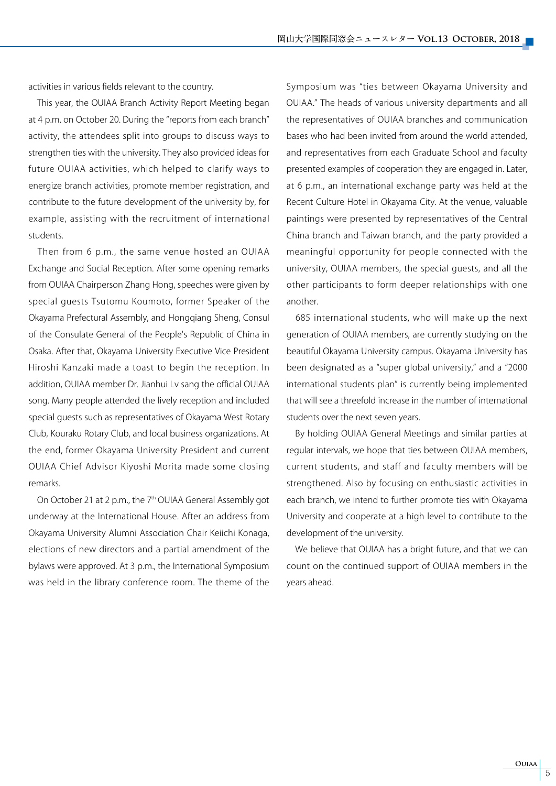activities in various fields relevant to the country.

 This year, the OUIAA Branch Activity Report Meeting began at 4 p.m. on October 20. During the "reports from each branch" activity, the attendees split into groups to discuss ways to strengthen ties with the university. They also provided ideas for future OUIAA activities, which helped to clarify ways to energize branch activities, promote member registration, and contribute to the future development of the university by, for example, assisting with the recruitment of international students.

 Then from 6 p.m., the same venue hosted an OUIAA Exchange and Social Reception. After some opening remarks from OUIAA Chairperson Zhang Hong, speeches were given by special guests Tsutomu Koumoto, former Speaker of the Okayama Prefectural Assembly, and Hongqiang Sheng, Consul of the Consulate General of the People's Republic of China in Osaka. After that, Okayama University Executive Vice President Hiroshi Kanzaki made a toast to begin the reception. In addition, OUIAA member Dr. Jianhui Lv sang the official OUIAA song. Many people attended the lively reception and included special guests such as representatives of Okayama West Rotary Club, Kouraku Rotary Club, and local business organizations. At the end, former Okayama University President and current OUIAA Chief Advisor Kiyoshi Morita made some closing remarks.

On October 21 at 2 p.m., the 7<sup>th</sup> OUIAA General Assembly got underway at the International House. After an address from Okayama University Alumni Association Chair Keiichi Konaga, elections of new directors and a partial amendment of the bylaws were approved. At 3 p.m., the International Symposium was held in the library conference room. The theme of the Symposium was "ties between Okayama University and OUIAA." The heads of various university departments and all the representatives of OUIAA branches and communication bases who had been invited from around the world attended, and representatives from each Graduate School and faculty presented examples of cooperation they are engaged in. Later, at 6 p.m., an international exchange party was held at the Recent Culture Hotel in Okayama City. At the venue, valuable paintings were presented by representatives of the Central China branch and Taiwan branch, and the party provided a meaningful opportunity for people connected with the university, OUIAA members, the special guests, and all the other participants to form deeper relationships with one another.

 685 international students, who will make up the next generation of OUIAA members, are currently studying on the beautiful Okayama University campus. Okayama University has been designated as a "super global university," and a "2000 international students plan" is currently being implemented that will see a threefold increase in the number of international students over the next seven years.

 By holding OUIAA General Meetings and similar parties at regular intervals, we hope that ties between OUIAA members, current students, and staff and faculty members will be strengthened. Also by focusing on enthusiastic activities in each branch, we intend to further promote ties with Okayama University and cooperate at a high level to contribute to the development of the university.

 We believe that OUIAA has a bright future, and that we can count on the continued support of OUIAA members in the years ahead.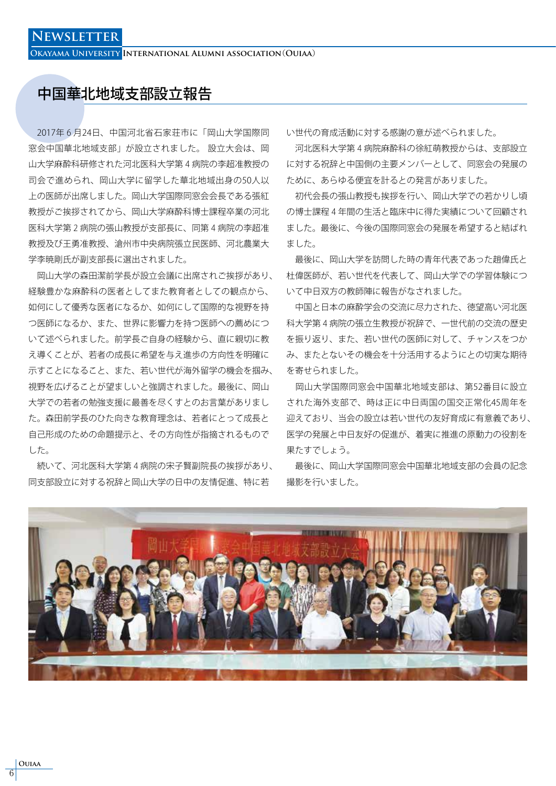**Okayama University International Alumni association**(**Ouiaa**)

#### 中国華北地域支部設立報告

 2017年₆月24日、中国河北省石家荘市に「岡山大学国際同 窓会中国華北地域支部」が設立されました。 設立大会は、岡 山大学麻酔科研修された河北医科大学第4病院の李超准教授の 司会で進められ、岡山大学に留学した華北地域出身の50人以 上の医師が出席しました。岡山大学国際同窓会会長である張紅 教授がご挨拶されてから、岡山大学麻酔科博士課程卒業の河北 医科大学第2病院の張山教授が支部長に、同第4病院の李超准 教授及び王勇准教授、滄州市中央病院張立民医師、河北農業大 学李暁剛氏が副支部長に選出されました。

 岡山大学の森田潔前学長が設立会議に出席されご挨拶があり、 経験豊かな麻酔科の医者としてまた教育者としての観点から、 如何にして優秀な医者になるか、如何にして国際的な視野を持 つ医師になるか、また、世界に影響力を持つ医師への薦めにつ いて述べられました。前学長ご自身の経験から、直に親切に教 え導くことが、若者の成長に希望を与え進歩の方向性を明確に 示すことになること、また、若い世代が海外留学の機会を掴み、 視野を広げることが望ましいと強調されました。最後に、岡山 大学での若者の勉強支援に最善を尽くすとのお言葉がありまし た。森田前学長のひた向きな教育理念は、若者にとって成長と 自己形成のための命題提示と、その方向性が指摘されるもので した。

続いて、河北医科大学第4病院の宋子賢副院長の挨拶があり、 同支部設立に対する祝辞と岡山大学の日中の友情促進、特に若

い世代の育成活動に対する感謝の意が述べられました。

河北医科大学第4病院麻酔科の徐紅萌教授からは、支部設立 に対する祝辞と中国側の主要メンバーとして、同窓会の発展の ために、あらゆる便宜を計るとの発言がありました。

 初代会長の張山教授も挨拶を行い、岡山大学での若かりし頃 の博士課程4年間の生活と臨床中に得た実績について回顧され ました。最後に、今後の国際同窓会の発展を希望すると結ばれ ました。

 最後に、岡山大学を訪問した時の青年代表であった趙偉氏と 杜偉医師が、若い世代を代表して、岡山大学での学習体験につ いて中日双方の教師陣に報告がなされました。

 中国と日本の麻酔学会の交流に尽力された、徳望高い河北医 科大学第4病院の張立生教授が祝辞で、一世代前の交流の歴史 を振り返り、また、若い世代の医師に対して、チャンスをつか み、またとないその機会を十分活用するようにとの切実な期待 を寄せられました。

 岡山大学国際同窓会中国華北地域支部は、第52番目に設立 された海外支部で、時は正に中日両国の国交正常化45周年を 迎えており、当会の設立は若い世代の友好育成に有意義であり、 医学の発展と中日友好の促進が、着実に推進の原動力の役割を 果たすでしょう。

 最後に、岡山大学国際同窓会中国華北地域支部の会員の記念 撮影を行いました。

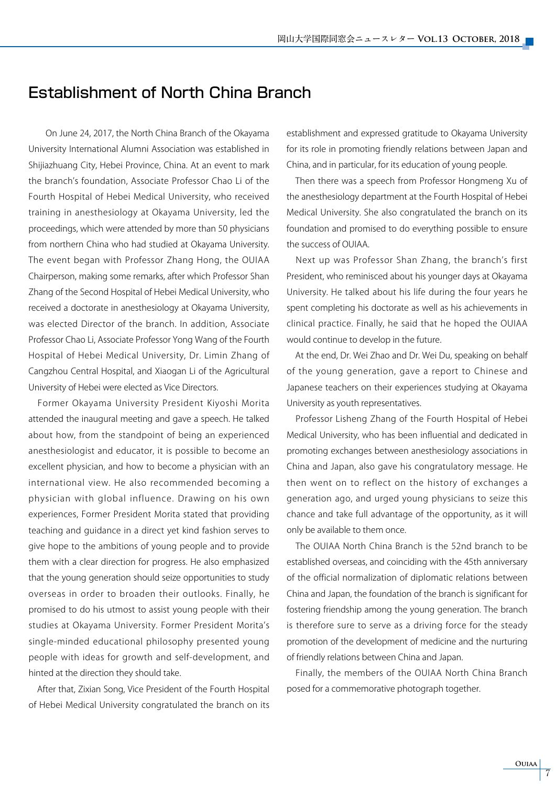#### Establishment of North China Branch

 On June 24, 2017, the North China Branch of the Okayama University International Alumni Association was established in Shijiazhuang City, Hebei Province, China. At an event to mark the branch's foundation, Associate Professor Chao Li of the Fourth Hospital of Hebei Medical University, who received training in anesthesiology at Okayama University, led the proceedings, which were attended by more than 50 physicians from northern China who had studied at Okayama University. The event began with Professor Zhang Hong, the OUIAA Chairperson, making some remarks, after which Professor Shan Zhang of the Second Hospital of Hebei Medical University, who received a doctorate in anesthesiology at Okayama University, was elected Director of the branch. In addition, Associate Professor Chao Li, Associate Professor Yong Wang of the Fourth Hospital of Hebei Medical University, Dr. Limin Zhang of Cangzhou Central Hospital, and Xiaogan Li of the Agricultural University of Hebei were elected as Vice Directors.

 Former Okayama University President Kiyoshi Morita attended the inaugural meeting and gave a speech. He talked about how, from the standpoint of being an experienced anesthesiologist and educator, it is possible to become an excellent physician, and how to become a physician with an international view. He also recommended becoming a physician with global influence. Drawing on his own experiences, Former President Morita stated that providing teaching and guidance in a direct yet kind fashion serves to give hope to the ambitions of young people and to provide them with a clear direction for progress. He also emphasized that the young generation should seize opportunities to study overseas in order to broaden their outlooks. Finally, he promised to do his utmost to assist young people with their studies at Okayama University. Former President Morita's single-minded educational philosophy presented young people with ideas for growth and self-development, and hinted at the direction they should take.

 After that, Zixian Song, Vice President of the Fourth Hospital of Hebei Medical University congratulated the branch on its establishment and expressed gratitude to Okayama University for its role in promoting friendly relations between Japan and China, and in particular, for its education of young people.

 Then there was a speech from Professor Hongmeng Xu of the anesthesiology department at the Fourth Hospital of Hebei Medical University. She also congratulated the branch on its foundation and promised to do everything possible to ensure the success of OUIAA.

 Next up was Professor Shan Zhang, the branch's first President, who reminisced about his younger days at Okayama University. He talked about his life during the four years he spent completing his doctorate as well as his achievements in clinical practice. Finally, he said that he hoped the OUIAA would continue to develop in the future.

 At the end, Dr. Wei Zhao and Dr. Wei Du, speaking on behalf of the young generation, gave a report to Chinese and Japanese teachers on their experiences studying at Okayama University as youth representatives.

 Professor Lisheng Zhang of the Fourth Hospital of Hebei Medical University, who has been influential and dedicated in promoting exchanges between anesthesiology associations in China and Japan, also gave his congratulatory message. He then went on to reflect on the history of exchanges a generation ago, and urged young physicians to seize this chance and take full advantage of the opportunity, as it will only be available to them once.

 The OUIAA North China Branch is the 52nd branch to be established overseas, and coinciding with the 45th anniversary of the official normalization of diplomatic relations between China and Japan, the foundation of the branch is significant for fostering friendship among the young generation. The branch is therefore sure to serve as a driving force for the steady promotion of the development of medicine and the nurturing of friendly relations between China and Japan.

 Finally, the members of the OUIAA North China Branch posed for a commemorative photograph together.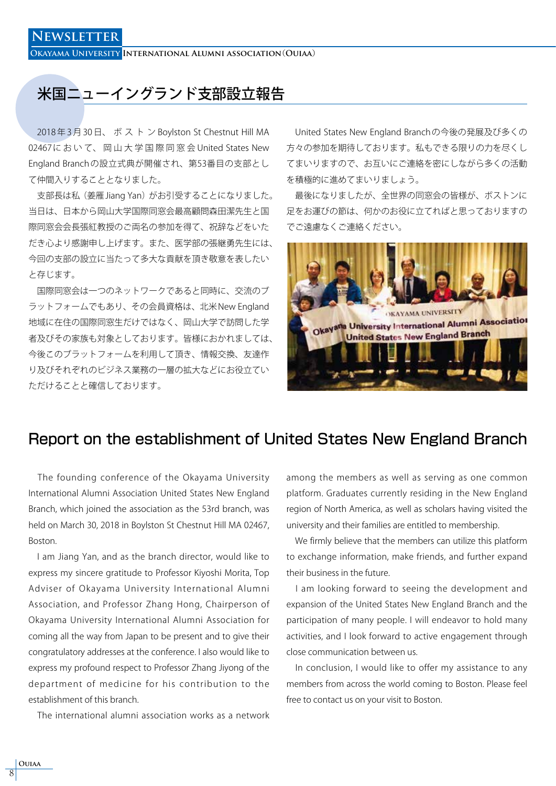**Okayama University International Alumni association**(**Ouiaa**)

### 米国ニューイングランド支部設立報告

2018年3月30日、ボストンBoylston St Chestnut Hill MA 02467において、岡山大学国際同窓会United States New England Branch の設立式典が開催され、第53番目の支部とし て仲間入りすることとなりました。

支部長は私(姜雁 Jiang Yan)がお引受することになりました。 当日は、日本から岡山大学国際同窓会最高顧問森田潔先生と国 際同窓会会長張紅教授のご両名の参加を得て、祝辞などをいた だき心より感謝申し上げます。また、医学部の張継勇先生には、 今回の支部の設立に当たって多大な貢献を頂き敬意を表したい と存じます。

 国際同窓会は一つのネットワークであると同時に、交流のブ ラットフォームでもあり、その会員資格は、北米 New England 地域に在住の国際同窓生だけではなく、岡山大学で訪問した学 者及びその家族も対象としております。皆様におかれましては、 今後このブラットフォームを利用して頂き、情報交換、友達作 り及びそれぞれのビジネス業務の一層の拡大などにお役立てい ただけることと確信しております。

 United States New England Branch の今後の発展及び多くの 方々の参加を期待しております。私もできる限りの力を尽くし てまいりますので、お互いにご連絡を密にしながら多くの活動 を積極的に進めてまいりましょう。

 最後になりましたが、全世界の同窓会の皆様が、ボストンに 足をお運びの節は、何かのお役に立てればと思っておりますの でご遠慮なくご連絡ください。



#### Report on the establishment of United States New England Branch

 The founding conference of the Okayama University International Alumni Association United States New England Branch, which joined the association as the 53rd branch, was held on March 30, 2018 in Boylston St Chestnut Hill MA 02467, Boston.

 I am Jiang Yan, and as the branch director, would like to express my sincere gratitude to Professor Kiyoshi Morita, Top Adviser of Okayama University International Alumni Association, and Professor Zhang Hong, Chairperson of Okayama University International Alumni Association for coming all the way from Japan to be present and to give their congratulatory addresses at the conference. I also would like to express my profound respect to Professor Zhang Jiyong of the department of medicine for his contribution to the establishment of this branch.

The international alumni association works as a network

among the members as well as serving as one common platform. Graduates currently residing in the New England region of North America, as well as scholars having visited the university and their families are entitled to membership.

 We firmly believe that the members can utilize this platform to exchange information, make friends, and further expand their business in the future.

 I am looking forward to seeing the development and expansion of the United States New England Branch and the participation of many people. I will endeavor to hold many activities, and I look forward to active engagement through close communication between us.

 In conclusion, I would like to offer my assistance to any members from across the world coming to Boston. Please feel free to contact us on your visit to Boston.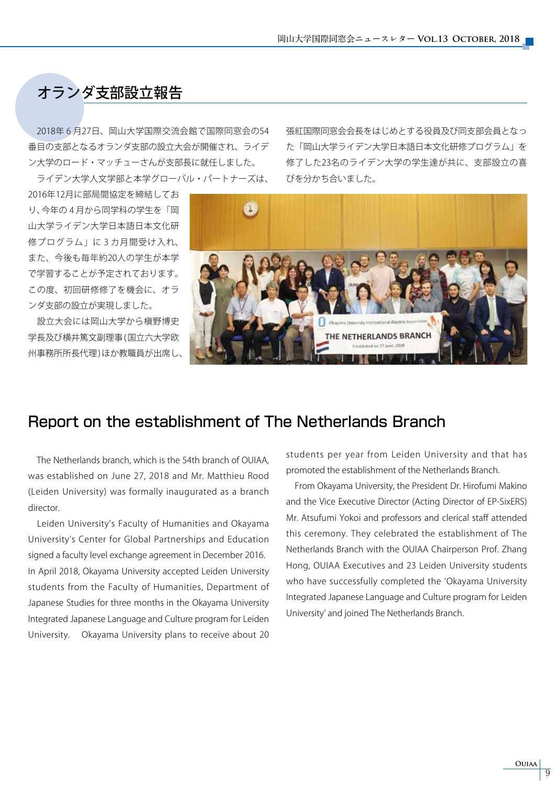### オランダ支部設立報告

2018年6月27日、岡山大学国際交流会館で国際同窓会の54 番目の支部となるオランダ支部の設立大会が開催され、ライデ ン大学のロード・マッチューさんが支部長に就任しました。 ライデン大学人文学部と本学グローバル・パートナーズは、

2016年12月に部局間協定を締結してお り、今年の4月から同学科の学生を「岡 山大学ライデン大学日本語日本文化研 修プログラム」に3カ月間受け入れ、 また、今後も毎年約20人の学生が本学 で学習することが予定されております。 この度、初回研修修了を機会に、オラ ンダ支部の設立が実現しました。

 設立大会には岡山大学から槇野博史 学長及び横井篤文副理事 (国立六大学欧 州事務所所長代理) ほか教職員が出席し

張紅国際同窓会会長をはじめとする役員及び同支部会員となっ た「岡山大学ライデン大学日本語日本文化研修プログラム」を 修了した23名のライデン大学の学生達が共に、支部設立の喜 びを分かち合いました。



#### Report on the establishment of The Netherlands Branch

 The Netherlands branch, which is the 54th branch of OUIAA, was established on June 27, 2018 and Mr. Matthieu Rood (Leiden University) was formally inaugurated as a branch director.

 Leiden University's Faculty of Humanities and Okayama University's Center for Global Partnerships and Education signed a faculty level exchange agreement in December 2016. In April 2018, Okayama University accepted Leiden University students from the Faculty of Humanities, Department of Japanese Studies for three months in the Okayama University Integrated Japanese Language and Culture program for Leiden University. Okayama University plans to receive about 20 students per year from Leiden University and that has promoted the establishment of the Netherlands Branch.

 From Okayama University, the President Dr. Hirofumi Makino and the Vice Executive Director (Acting Director of EP-SixERS) Mr. Atsufumi Yokoi and professors and clerical staff attended this ceremony. They celebrated the establishment of The Netherlands Branch with the OUIAA Chairperson Prof. Zhang Hong, OUIAA Executives and 23 Leiden University students who have successfully completed the 'Okayama University Integrated Japanese Language and Culture program for Leiden University' and joined The Netherlands Branch.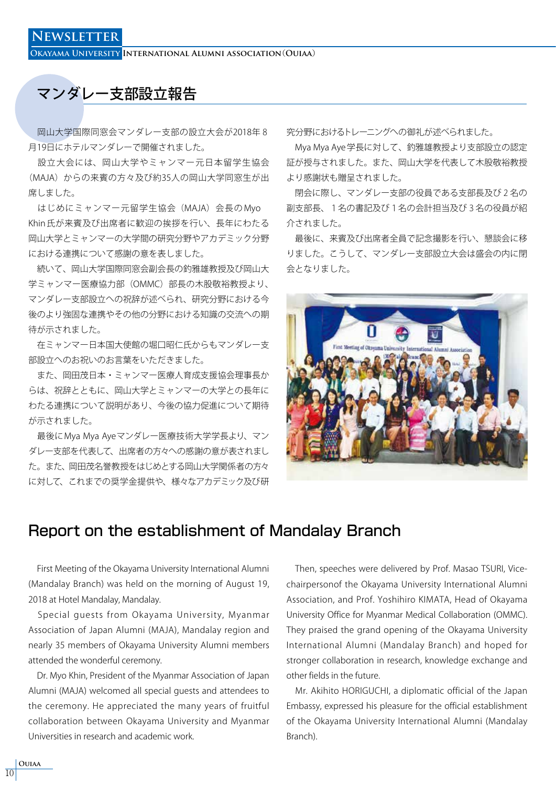**Okayama University International Alumni association**(**Ouiaa**)

#### マンダレー支部設立報告

 岡山大学国際同窓会マンダレー支部の設立大会が2018年₈ 月19日にホテルマンダレーで開催されました。

 設立大会には、岡山大学やミャンマー元日本留学生協会 (MAJA)からの来賓の方々及び約35人の岡山大学同窓生が出 席しました。

 はじめにミャンマー元留学生協会(MAJA)会長の Myo Khin 氏が来賓及び出席者に歓迎の挨拶を行い、長年にわたる 岡山大学とミャンマーの大学間の研究分野やアカデミック分野 における連携について感謝の意を表しました。

 続いて、岡山大学国際同窓会副会長の釣雅雄教授及び岡山大 学ミャンマー医療協力部(OMMC)部長の木股敬裕教授より、 マンダレー支部設立への祝辞が述べられ、研究分野における今 後のより強固な連携やその他の分野における知識の交流への期 待が示されました。

 在ミャンマー日本国大使館の堀口昭仁氏からもマンダレー支 部設立へのお祝いのお言葉をいただきました。

 また、岡田茂日本・ミャンマー医療人育成支援協会理事長か らは、祝辞とともに、岡山大学とミャンマーの大学との長年に わたる連携について説明があり、今後の協力促進について期待 が示されました。

 最後にMya Mya Ayeマンダレー医療技術大学学長より、マン ダレー支部を代表して、出席者の方々への感謝の意が表されまし た。また、岡田茂名誉教授をはじめとする岡山大学関係者の方々 に対して、これまでの奨学金提供や、様々なアカデミック及び研

究分野におけるトレーニングへの御礼が述べられました。

 Mya Mya Aye 学長に対して、釣雅雄教授より支部設立の認定 証が授与されました。また、岡山大学を代表して木股敬裕教授 より感謝状も贈呈されました。

閉会に際し、マンダレー支部の役員である支部長及び2名の 副支部長、₁名の書記及び₁名の会計担当及び₃名の役員が紹 介されました。

 最後に、来賓及び出席者全員で記念撮影を行い、懇談会に移 りました。こうして、マンダレー支部設立大会は盛会の内に閉 会となりました。



#### Report on the establishment of Mandalay Branch

 First Meeting of the Okayama University International Alumni (Mandalay Branch) was held on the morning of August 19, 2018 at Hotel Mandalay, Mandalay.

 Special guests from Okayama University, Myanmar Association of Japan Alumni (MAJA), Mandalay region and nearly 35 members of Okayama University Alumni members attended the wonderful ceremony.

 Dr. Myo Khin, President of the Myanmar Association of Japan Alumni (MAJA) welcomed all special guests and attendees to the ceremony. He appreciated the many years of fruitful collaboration between Okayama University and Myanmar Universities in research and academic work.

 Then, speeches were delivered by Prof. Masao TSURI, Vicechairpersonof the Okayama University International Alumni Association, and Prof. Yoshihiro KIMATA, Head of Okayama University Office for Myanmar Medical Collaboration (OMMC). They praised the grand opening of the Okayama University International Alumni (Mandalay Branch) and hoped for stronger collaboration in research, knowledge exchange and other fields in the future.

 Mr. Akihito HORIGUCHI, a diplomatic official of the Japan Embassy, expressed his pleasure for the official establishment of the Okayama University International Alumni (Mandalay Branch).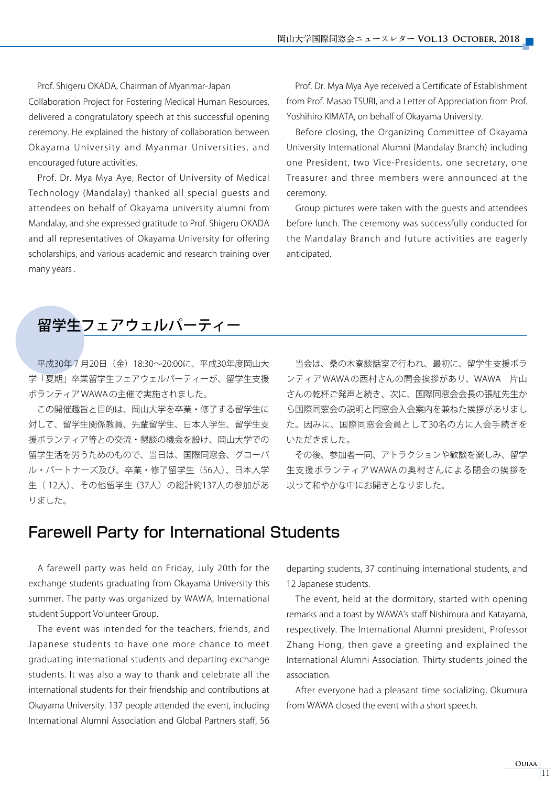Prof. Shigeru OKADA, Chairman of Myanmar-Japan Collaboration Project for Fostering Medical Human Resources, delivered a congratulatory speech at this successful opening ceremony. He explained the history of collaboration between Okayama University and Myanmar Universities, and encouraged future activities.

 Prof. Dr. Mya Mya Aye, Rector of University of Medical Technology (Mandalay) thanked all special guests and attendees on behalf of Okayama university alumni from Mandalay, and she expressed gratitude to Prof. Shigeru OKADA and all representatives of Okayama University for offering scholarships, and various academic and research training over many years .

 Prof. Dr. Mya Mya Aye received a Certificate of Establishment from Prof. Masao TSURI, and a Letter of Appreciation from Prof. Yoshihiro KIMATA, on behalf of Okayama University.

 Before closing, the Organizing Committee of Okayama University International Alumni (Mandalay Branch) including one President, two Vice-Presidents, one secretary, one Treasurer and three members were announced at the ceremony.

 Group pictures were taken with the guests and attendees before lunch. The ceremony was successfully conducted for the Mandalay Branch and future activities are eagerly anticipated.

#### 留学生フェアウェルパーティー

平成30年7月20日 (金) 18:30~20:00に、平成30年度岡山大 学「夏期」卒業留学生フェアウェルパーティーが、留学生支援 ボランティア WAWA の主催で実施されました。

 この開催趣旨と目的は、岡山大学を卒業・修了する留学生に 対して、留学生関係教員、先輩留学生、日本人学生、留学生支 援ボランティア等との交流・懇談の機会を設け、岡山大学での 留学生活を労うためのもので、当日は、国際同窓会、グローバ ル・パートナーズ及び、卒業・修了留学生 (56人)、日本人学 生( 12人)、その他留学生(37人)の総計約137人の参加があ りました。

 当会は、桑の木寮談話室で行われ、最初に、留学生支援ボラ ンティア WAWA の西村さんの開会挨拶があり、WAWA 片山 さんの乾杯ご発声と続き、次に、国際同窓会会長の張紅先生か ら国際同窓会の説明と同窓会入会案内を兼ねた挨拶がありまし た。因みに、国際同窓会会員として30名の方に入会手続きを いただきました。

 その後、参加者一同、アトラクションや歓談を楽しみ、留学 生支援ボランティア WAWA の奥村さんによる閉会の挨拶を 以って和やかな中にお開きとなりました。

#### Farewell Party for International Students

 A farewell party was held on Friday, July 20th for the exchange students graduating from Okayama University this summer. The party was organized by WAWA, International student Support Volunteer Group.

 The event was intended for the teachers, friends, and Japanese students to have one more chance to meet graduating international students and departing exchange students. It was also a way to thank and celebrate all the international students for their friendship and contributions at Okayama University. 137 people attended the event, including International Alumni Association and Global Partners staff, 56 departing students, 37 continuing international students, and 12 Japanese students.

 The event, held at the dormitory, started with opening remarks and a toast by WAWA's staff Nishimura and Katayama, respectively. The International Alumni president, Professor Zhang Hong, then gave a greeting and explained the International Alumni Association. Thirty students joined the association.

 After everyone had a pleasant time socializing, Okumura from WAWA closed the event with a short speech.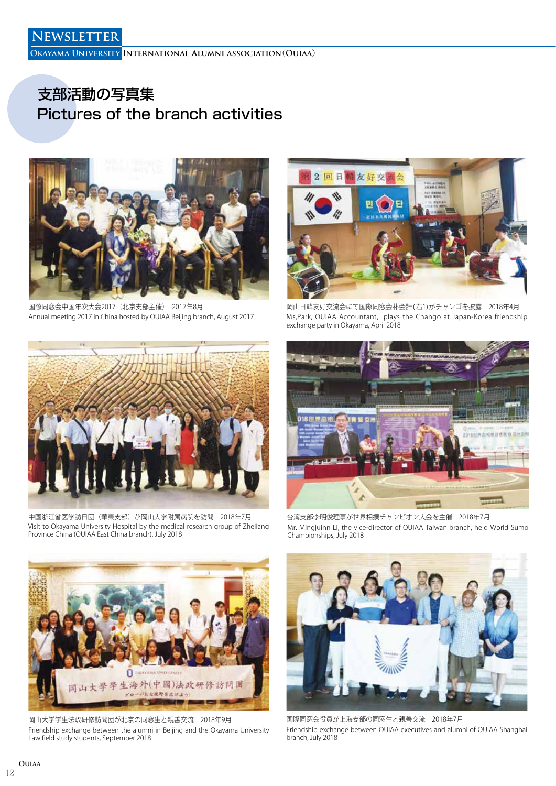**Okayama University International Alumni association**(**Ouiaa**)

### 支部活動の写真集 Pictures of the branch activities



国際同窓会中国年次大会2017(北京支部主催) 2017年8月 インスコン 田山日韓友好交流会にて国際同窓会朴会計 (右1) がチャンゴを披露 2018年4月 Annual meeting 2017 in China hosted by OUIAA Beijing branch, August 2017



Ms,Park, OUIAA Accountant, plays the Chango at Japan-Korea friendship exchange party in Okayama, April 2018



中国浙江省医学訪日団(華東支部)が岡山大学附属病院を訪問 2018年7月 台湾支部李明俊理事が世界相撲チャンピオン大会を主催 2018年7月 Visit to Okayama University Hospital by the medical research group of Zhejiang Province China (OUIAA East China branch), July 2018



Mr. Mingjuinn Li, the vice-director of OUIAA Taiwan branch, held World Sumo Championships, July 2018



岡山大学学生法政研修訪問団が北京の同窓生と親善交流 2018年9月 国際同窓会役員が上海支部の同窓生と親善交流 2018年7月 Friendship exchange between the alumni in Beijing and the Okayama University Law field study students, September 2018



Friendship exchange between OUIAA executives and alumni of OUIAA Shanghai branch, July 2018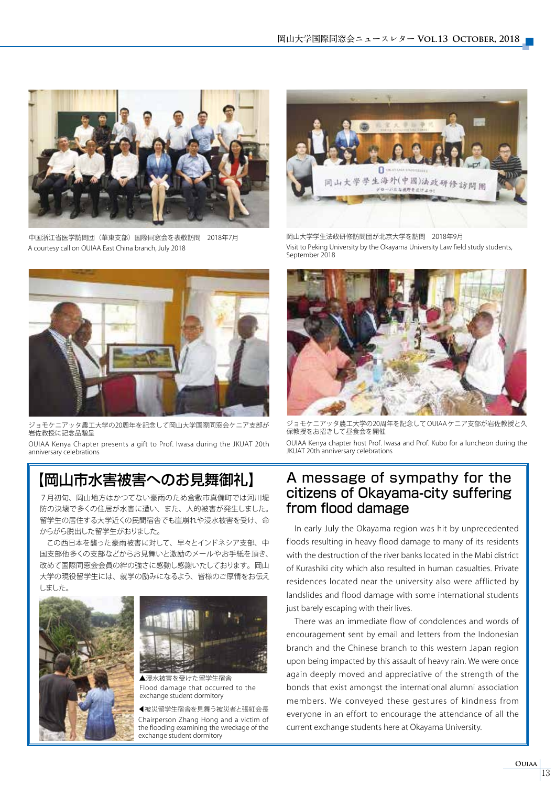

中国浙江省医学訪問団(華東支部)国際同窓会を表敬訪問 2018年7月 A courtesy call on OUIAA East China branch, July 2018



ジョモケニアッタ農工大学の20周年を記念して岡山大学国際同窓会ケニア支部が - コロク<br>岩佐教授に記念品贈呈

OUIAA Kenya Chapter presents a gift to Prof. Iwasa during the JKUAT 20th anniversary celebrations

7月初旬、岡山地方はかつてない豪雨のため倉敷市真備町では河川堤 防の決壊で多くの住居が水害に遭い、また、人的被害が発生しました。 留学生の居住する大学近くの民間宿舎でも崖崩れや浸水被害を受け、命 からがら脱出した留学生がおりました。

 この西日本を襲った豪雨被害に対して、早々とインドネシア支部、中 国支部他多くの支部などからお見舞いと激励のメールやお手紙を頂き、 改めて国際同窓会会員の絆の強さに感動し感謝いたしております。岡山 大学の現役留学生には、就学の励みになるよう、皆様のご厚情をお伝え しました。





Flood damage that occurred to the exchange student dormitory ▲浸水被害を受けた留学生宿舎

●被災留学生宿舎を見舞う被災者と張紅会長 Chairperson Zhang Hong and a victim of the flooding examining the wreckage of the exchange student dormitory



岡山大学学生法政研修訪問団が北京大学を訪問 2018年9月 Visit to Peking University by the Okayama University Law field study students, September 2018



ジョモケニアッタ農工大学の20周年を記念して OUIAA ケニア支部が岩佐教授と久 保教授をお招きして昼食会を開催

OUIAA Kenya chapter host Prof. Iwasa and Prof. Kubo for a luncheon during the JKUAT 20th anniversary celebrations

#### 【岡山市水害被害へのお見舞御礼】 A message of sympathy for the citizens of Okayama-city suffering from flood damage

 In early July the Okayama region was hit by unprecedented floods resulting in heavy flood damage to many of its residents with the destruction of the river banks located in the Mabi district of Kurashiki city which also resulted in human casualties. Private residences located near the university also were afflicted by landslides and flood damage with some international students just barely escaping with their lives.

 There was an immediate flow of condolences and words of encouragement sent by email and letters from the Indonesian branch and the Chinese branch to this western Japan region upon being impacted by this assault of heavy rain. We were once again deeply moved and appreciative of the strength of the bonds that exist amongst the international alumni association members. We conveyed these gestures of kindness from everyone in an effort to encourage the attendance of all the current exchange students here at Okayama University.